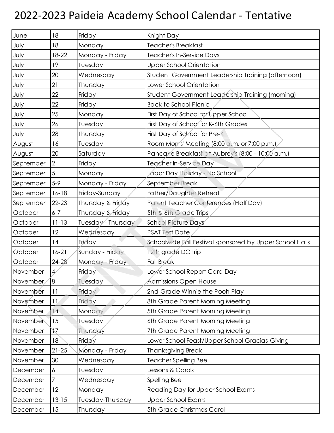## 2022-2023 Paideia Academy School Calendar - Tentative

| June      | 18              | Friday             | Knight Day                                               |
|-----------|-----------------|--------------------|----------------------------------------------------------|
| July      | 18              | Monday             | Teacher's Breakfast                                      |
| July      | 18-22           | Monday - Friday    | Teacher's In-Service Days                                |
| July      | 19              | Tuesday            | <b>Upper School Orientation</b>                          |
| July      | 20              | Wednesday          | Student Government Leadership Training (afternoon)       |
| July      | 21              | Thursday           | Lower School Orientation                                 |
| July      | 22              | Friday             | Student Government Leadership Training (morning)         |
| July      | 22              | Friday             | <b>Back to School Picnic</b>                             |
| July      | 25              | Monday             | First Day of School for Upper School                     |
| July      | 26              | Tuesday            | First Day of School for K-6th Grades                     |
| July      | 28              | Thursday           | First Day of School for Pre-K                            |
| August    | 16              | Tuesday            | Room Moms' Meeting (8:00 a.m. or 7:00 p.m.)              |
| August    | 20              | Saturday           | Pancake Breakfast at Aubrey's (8:00 - 10:00 a.m.)        |
| September | $\overline{2}$  | Friday             | Teacher In-Service Day                                   |
| September | 5               | Monday             | Lábor Day Holiday - No School                            |
| September | $5 - 9$         | Monday - Friday    | September Break                                          |
| September | $16 - 18$       | Friday-Sunday      | Father/Daughter Retreat                                  |
| September | $22 - 23$       | Thursday & Friday  | Parent Teacher Conferences (Half Day)                    |
| October   | $6 - 7$         | Thursday & Friday  | 5th & 6th Grade Trips                                    |
| October   | $11 - 13$       | Tuesday - Thursday | <b>School Picture Days</b>                               |
| October   | 12              | Wednesday          | <b>PSAT Test Date</b>                                    |
| October   | 14              | Friday             | Schoolwide Fall Festival sponsored by Upper School Halls |
| October   | $16-21$         | Sunday - Friday    | 12th gradé DC trip                                       |
| October   | $24 - 28$       | Monday - Friday    | Fall Break                                               |
| November  | $\overline{4}$  | Friday             | Lower School Report Card Day                             |
| November  | $\overline{8}$  | Tuesday            | <b>Admissions Open House</b>                             |
| November  | 11              | Friday             | 2nd Grade Winnie the Pooh Play                           |
| November  | 11              | Friday             | 8th Grade Parent Morning Meeting                         |
| November  | $\overline{14}$ | Monday             | 5th Grade Parent Morning Meeting                         |
| November  | 15              | Tuesday            | 6th Grade Parent Morning Meeting                         |
| November  | `N              | Thursday           | 7th Grade Parent Morning Meeting                         |
| November  | 18              | Fridgy             | Lower School Feast/Upper School Gracias-Giving           |
| November  | $21 - 25$       | Monday - Friday    | <b>Thanksgiving Break</b>                                |
| November  | 30              | Wednesday          | Teacher Spelling Bee                                     |
| December  | 6               | Tuesday            | Lessons & Carols                                         |
| December  | 7               | Wednesday          | Spelling Bee                                             |
| December  | 12              | Monday             | Reading Day for Upper School Exams                       |
| December  | $13 - 15$       | Tuesday-Thursday   | Upper School Exams                                       |
| December  | 15              | Thursday           | 5th Grade Christmas Carol                                |